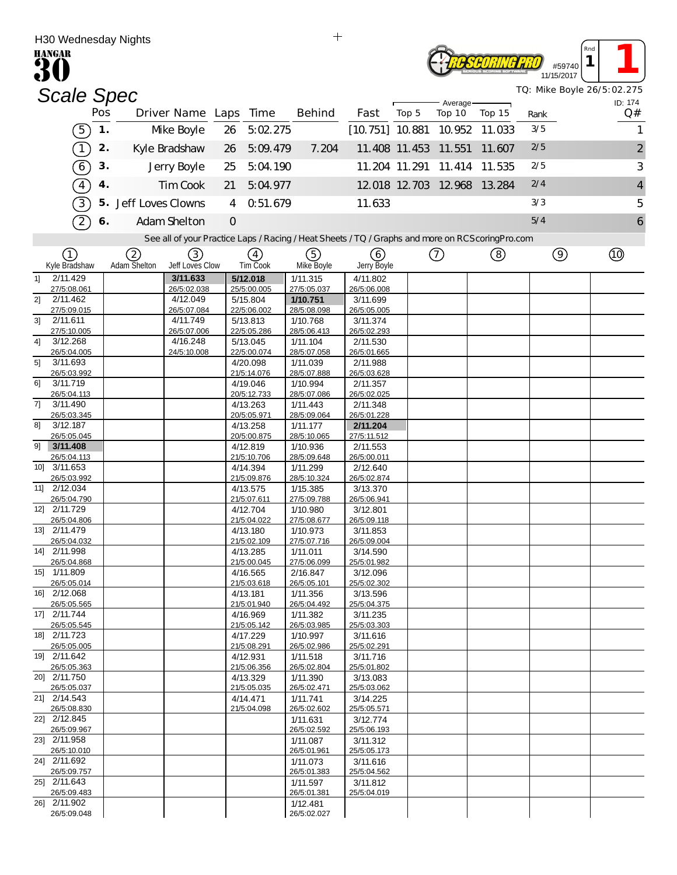| H30 Wednesday Nights                                                                              |     |                      |                         |         |                            | $\mathrm{+}$            |                         |               |                              |        |      |                             |                            |
|---------------------------------------------------------------------------------------------------|-----|----------------------|-------------------------|---------|----------------------------|-------------------------|-------------------------|---------------|------------------------------|--------|------|-----------------------------|----------------------------|
| <b>HANGAR</b>                                                                                     |     |                      |                         |         |                            |                         |                         |               |                              |        |      | Rna<br>#59740<br>11/15/2017 |                            |
| <b>Scale Spec</b>                                                                                 |     |                      |                         |         |                            |                         |                         |               |                              |        |      |                             | TQ: Mike Boyle 26/5:02.275 |
|                                                                                                   | Pos |                      | Driver Name Laps        |         | Time                       | Behind                  | Fast                    | Top 5         | Average-<br>Top 10           | Top 15 | Rank |                             | ID: 174<br>Q#              |
| (5)                                                                                               | 1.  |                      | Mke Boyle               | 26      | 5:02.275                   |                         | $[10.751]$ 10.881       |               | 10.952                       | 11.033 | 3/5  |                             | 1                          |
| $\bigcap$                                                                                         | 2.  |                      | Kyle Bradshaw           | 26      | 5:09.479                   | 7.204                   |                         |               | 11.408 11.453 11.551         | 11.607 | 2/5  |                             | $\overline{c}$             |
| T                                                                                                 | 3.  |                      | Jerry Boyle             | 25      | 5:04.190                   |                         |                         | 11.204 11.291 | 11.414                       | 11.535 | 2/5  |                             | 3                          |
| $\sqrt{4}$                                                                                        | 4.  |                      | Tim Cook                | 21      | 5:04.977                   |                         |                         |               | 12.018 12.703 12.968 13.284  |        | 2/4  |                             | 4                          |
| $\sqrt{3}$                                                                                        |     | 5. Jeff Loves Clowns |                         | 4       | 0.51.679                   |                         | 11.633                  |               |                              |        | 3/3  |                             | 5                          |
| $\mathcal{D}$                                                                                     | 6.  |                      | Adam Shelton            | $\circ$ |                            |                         |                         |               |                              |        | 5/4  |                             | 6                          |
| See all of your Practice Laps / Racing / Heat Sheets / TQ / Graphs and more on RCS coring Pro.com |     |                      |                         |         |                            |                         |                         |               |                              |        |      |                             |                            |
| <b>介</b><br>Kyle Bradshaw                                                                         |     | 2<br>Adam Shelton    | 3<br>Jeff Loves Clow    |         | $\binom{4}{ }$<br>Tim Cook | ⑤<br>Mke Boyle          | (6)                     |               | $^{\small{\textregistered}}$ | ②      |      | $\circledcirc$              | ⑩                          |
| 2/11.429<br>11                                                                                    |     |                      | 3/11.633                |         | 5/12.018                   | 1/11.315                | Jerry Boyle<br>4/11.802 |               |                              |        |      |                             |                            |
| 27/5:08.061                                                                                       |     |                      | 26/5:02.038             |         | 25/5:00.005                | 27/5:05.037             | 26/5:06.008             |               |                              |        |      |                             |                            |
| 21<br>2/11.462<br>27/5:09.015                                                                     |     |                      | 4/12.049<br>26/5:07.084 |         | 5/15.804<br>22/5:06.002    | 1/10.751<br>28/5:08.098 | 3/11.699<br>26/5:05.005 |               |                              |        |      |                             |                            |
| 3]<br>2/11.611                                                                                    |     |                      | 4/11.749                |         | 5/13.813                   | 1/10.768                | 3/11.374                |               |                              |        |      |                             |                            |
| 27/5:10.005<br>3/12.268                                                                           |     |                      | 26/5:07.006<br>4/16.248 |         | 22/5:05.286                | 28/5:06.413             | 26/5:02.293             |               |                              |        |      |                             |                            |
| 41<br>26/5:04.005                                                                                 |     |                      | 24/5:10.008             |         | 5/13.045<br>22/5:00.074    | 1/11.104<br>28/5:07.058 | 2/11.530<br>26/5:01.665 |               |                              |        |      |                             |                            |
| 5]<br>3/11.693                                                                                    |     |                      |                         |         | 4/20.098                   | 1/11.039                | 2/11.988                |               |                              |        |      |                             |                            |
| 26/5:03.992<br>3/11.719<br>6]                                                                     |     |                      |                         |         | 21/5:14.076<br>4/19.046    | 28/5:07.888<br>1/10.994 | 26/5:03.628<br>2/11.357 |               |                              |        |      |                             |                            |
| 26/5:04.113                                                                                       |     |                      |                         |         | 20/5:12.733                | 28/5:07.086             | 26/5:02.025             |               |                              |        |      |                             |                            |
| 71<br>3/11.490<br>26/5:03.345                                                                     |     |                      |                         |         | 4/13.263<br>20/5:05.971    | 1/11.443<br>28/5:09.064 | 2/11.348<br>26/5:01.228 |               |                              |        |      |                             |                            |
| 3/12.187<br>81                                                                                    |     |                      |                         |         | 4/13.258                   | 1/11.177                | 2/11.204                |               |                              |        |      |                             |                            |
| 26/5:05.045                                                                                       |     |                      |                         |         | 20/5:00.875                | 28/5:10.065             | 27/5:11.512             |               |                              |        |      |                             |                            |
| 91<br>3/11.408<br>26/5:04.113                                                                     |     |                      |                         |         | 4/12.819<br>21/5:10.706    | 1/10.936<br>28/5:09.648 | 2/11.553<br>26/5:00.011 |               |                              |        |      |                             |                            |
| 3/11.653<br>10]                                                                                   |     |                      |                         |         | 4/14.394                   | 1/11.299                | 2/12.640                |               |                              |        |      |                             |                            |
| 26/5:03.992<br>11] 2/12.034                                                                       |     |                      |                         |         | 21/5:09.876<br>4/13.575    | 28/5:10.324<br>1/15.385 | 26/5:02.874<br>3/13.370 |               |                              |        |      |                             |                            |
| 26/5:04.790                                                                                       |     |                      |                         |         | 21/5:07.611                | 27/5:09.788             | 26/5:06.941             |               |                              |        |      |                             |                            |
| 12] 2/11.729<br>26/5:04.806                                                                       |     |                      |                         |         | 4/12.704<br>21/5:04.022    | 1/10.980<br>27/5:08.677 | 3/12.801<br>26/5:09.118 |               |                              |        |      |                             |                            |
| 13 2/11.479                                                                                       |     |                      |                         |         | 4/13.180                   | 1/10.973                | 3/11.853                |               |                              |        |      |                             |                            |
| 26/5:04.032<br>14] 2/11.998                                                                       |     |                      |                         |         | 21/5:02.109                | 27/5:07.716             | 26/5:09.004             |               |                              |        |      |                             |                            |
| 26/5:04.868                                                                                       |     |                      |                         |         | 4/13.285<br>21/5:00.045    | 1/11.011<br>27/5:06.099 | 3/14.590<br>25/5:01.982 |               |                              |        |      |                             |                            |
| 15] 1/11.809                                                                                      |     |                      |                         |         | 4/16.565                   | 2/16.847                | 3/12.096                |               |                              |        |      |                             |                            |
| 26/5:05.014<br>16] 2/12.068                                                                       |     |                      |                         |         | 21/5:03.618<br>4/13.181    | 26/5:05.101<br>1/11.356 | 25/5:02.302<br>3/13.596 |               |                              |        |      |                             |                            |
| 26/5:05.565                                                                                       |     |                      |                         |         | 21/5:01.940                | 26/5:04.492             | 25/5:04.375             |               |                              |        |      |                             |                            |
| 17] 2/11.744<br>26/5:05.545                                                                       |     |                      |                         |         | 4/16.969<br>21/5:05.142    | 1/11.382<br>26/5:03.985 | 3/11.235<br>25/5:03.303 |               |                              |        |      |                             |                            |
| 18] 2/11.723                                                                                      |     |                      |                         |         | 4/17.229                   | 1/10.997                | 3/11.616                |               |                              |        |      |                             |                            |
| 26/5:05.005<br>19] 2/11.642                                                                       |     |                      |                         |         | 21/5:08.291<br>4/12.931    | 26/5:02.986<br>1/11.518 | 25/5:02.291<br>3/11.716 |               |                              |        |      |                             |                            |
| 26/5:05.363                                                                                       |     |                      |                         |         | 21/5:06.356                | 26/5:02.804             | 25/5:01.802             |               |                              |        |      |                             |                            |
| 20] 2/11.750<br>26/5:05.037                                                                       |     |                      |                         |         | 4/13.329<br>21/5:05.035    | 1/11.390<br>26/5:02.471 | 3/13.083<br>25/5:03.062 |               |                              |        |      |                             |                            |
| 21] 2/14.543                                                                                      |     |                      |                         |         | 4/14.471                   | 1/11.741                | 3/14.225                |               |                              |        |      |                             |                            |
| 26/5:08.830<br>22] 2/12.845                                                                       |     |                      |                         |         | 21/5:04.098                | 26/5:02.602<br>1/11.631 | 25/5:05.571<br>3/12.774 |               |                              |        |      |                             |                            |
| 26/5:09.967                                                                                       |     |                      |                         |         |                            | 26/5:02.592             | 25/5:06.193             |               |                              |        |      |                             |                            |
| 23] 2/11.958<br>26/5:10.010                                                                       |     |                      |                         |         |                            | 1/11.087<br>26/5:01.961 | 3/11.312<br>25/5:05.173 |               |                              |        |      |                             |                            |
| 24] 2/11.692                                                                                      |     |                      |                         |         |                            | 1/11.073                | 3/11.616                |               |                              |        |      |                             |                            |
| 26/5:09.757                                                                                       |     |                      |                         |         |                            | 26/5:01.383             | 25/5:04.562             |               |                              |        |      |                             |                            |
| 25] 2/11.643<br>26/5:09.483                                                                       |     |                      |                         |         |                            | 1/11.597<br>26/5:01.381 | 3/11.812<br>25/5:04.019 |               |                              |        |      |                             |                            |
| 26] 2/11.902                                                                                      |     |                      |                         |         |                            | 1/12.481                |                         |               |                              |        |      |                             |                            |
| 26/5:09.048                                                                                       |     |                      |                         |         |                            | 26/5:02.027             |                         |               |                              |        |      |                             |                            |

 $\ddot{+}$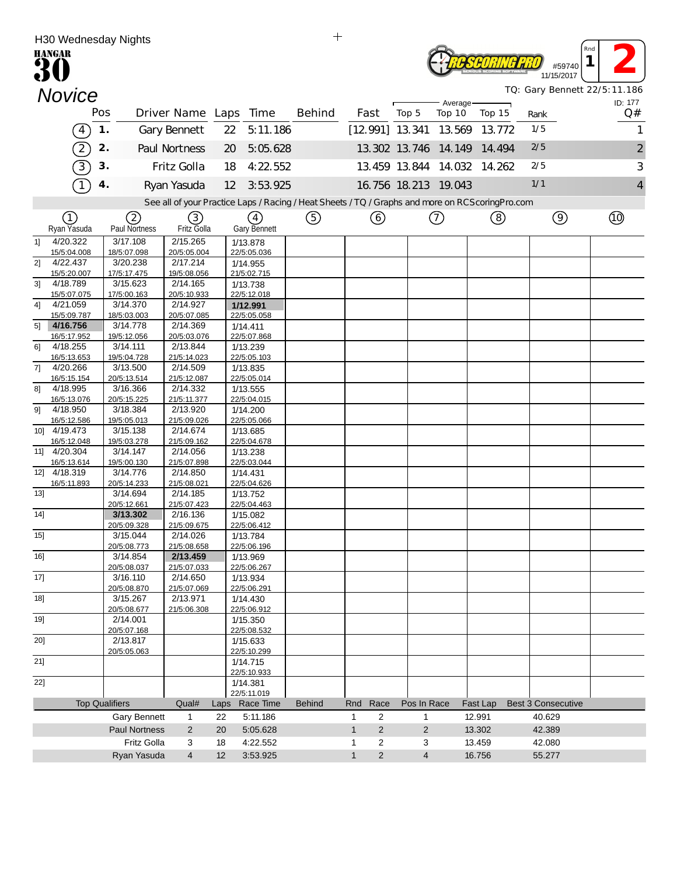|        | H30 Wednesday Nights                                                                                    |     |                         |                         |      |                                                                                                 | $\mathrm{+}$  |              |                |       |                      |          |                               |      |                           |                              |                         |
|--------|---------------------------------------------------------------------------------------------------------|-----|-------------------------|-------------------------|------|-------------------------------------------------------------------------------------------------|---------------|--------------|----------------|-------|----------------------|----------|-------------------------------|------|---------------------------|------------------------------|-------------------------|
|        | <b>HANGAR</b>                                                                                           |     |                         |                         |      |                                                                                                 |               |              |                |       |                      |          |                               |      | #59740                    | Rnd                          |                         |
|        |                                                                                                         |     |                         |                         |      |                                                                                                 |               |              |                |       |                      |          |                               |      | 11/15/2017                | TQ: Gary Bennett 22/5:11.186 |                         |
|        | <b>Novice</b>                                                                                           |     |                         |                         |      |                                                                                                 |               |              |                |       |                      | Average- |                               |      |                           | ID: 177                      |                         |
|        |                                                                                                         | Pos |                         |                         |      | Driver Name Laps Time                                                                           | Behind        |              | Fast           | Top 5 | Top 10               |          | Top 15                        | Rank |                           | Q#                           |                         |
|        | $\left(4\right)$                                                                                        | 1.  |                         | Gary Bennett            |      | 5:11.186<br>22                                                                                  |               |              |                |       |                      |          | [12.991] 13.341 13.569 13.772 | 1/5  |                           |                              | 1                       |
|        | $\mathfrak{D}% _{T}=\mathfrak{D}_{T}\!\left( a,b\right) ,\ \mathfrak{D}_{T}=C_{T}\!\left( a,b\right) ,$ | 2.  |                         | Paul Nortness           |      | 5:05.628<br>20                                                                                  |               |              |                |       |                      |          | 13.302 13.746 14.149 14.494   | 2/5  |                           |                              | $\overline{\mathbf{c}}$ |
|        | 3)                                                                                                      | 3.  |                         | Fritz Golla             |      | 18<br>4:22 552                                                                                  |               |              |                |       |                      |          | 13.459 13.844 14.032 14.262   | 2/5  |                           |                              | 3                       |
|        |                                                                                                         | 4.  |                         | Ryan Yasuda             |      | 3:53.925<br>12                                                                                  |               |              |                |       | 16.756 18.213 19.043 |          |                               | 1/1  |                           |                              | 4                       |
|        |                                                                                                         |     |                         |                         |      | See all of your Practice Laps / Racing / Heat Sheets / TQ / Graphs and more on RCScoringPro.com |               |              |                |       |                      |          |                               |      |                           |                              |                         |
|        | (1)                                                                                                     |     | 2                       | (3)                     |      | (4)                                                                                             | (5)           |              | ⊙              |       | (7)                  |          | (8)                           |      | $\circledcirc$            | <b>to</b>                    |                         |
|        | Ryan Yasuda                                                                                             |     | Paul Nortness           | Fritz Golla             |      | Gary Bennett                                                                                    |               |              |                |       |                      |          |                               |      |                           |                              |                         |
| 11     | 4/20.322<br>15/5:04.008                                                                                 |     | 3/17.108<br>18/5:07.098 | 2/15.265<br>20/5:05.004 |      | 1/13.878<br>22/5:05.036                                                                         |               |              |                |       |                      |          |                               |      |                           |                              |                         |
| 2]     | 4/22.437                                                                                                |     | 3/20.238                | 2/17.214                |      | 1/14.955                                                                                        |               |              |                |       |                      |          |                               |      |                           |                              |                         |
|        | 15/5:20.007                                                                                             |     | 17/5:17.475             | 19/5:08.056             |      | 21/5:02.715                                                                                     |               |              |                |       |                      |          |                               |      |                           |                              |                         |
| 31     | 4/18.789<br>15/5:07.075                                                                                 |     | 3/15.623<br>17/5:00.163 | 2/14.165<br>20/5:10.933 |      | 1/13.738<br>22/5:12.018                                                                         |               |              |                |       |                      |          |                               |      |                           |                              |                         |
| 41     | 4/21.059                                                                                                |     | 3/14.370                | 2/14.927                |      | 1/12.991                                                                                        |               |              |                |       |                      |          |                               |      |                           |                              |                         |
| 51     | 15/5:09.787<br>4/16.756                                                                                 |     | 18/5:03.003<br>3/14.778 | 20/5:07.085<br>2/14.369 |      | 22/5:05.058                                                                                     |               |              |                |       |                      |          |                               |      |                           |                              |                         |
|        | 16/5:17.952                                                                                             |     | 19/5:12.056             | 20/5:03.076             |      | 1/14.411<br>22/5:07.868                                                                         |               |              |                |       |                      |          |                               |      |                           |                              |                         |
| 61     | 4/18.255                                                                                                |     | 3/14.111                | 2/13.844                |      | 1/13.239                                                                                        |               |              |                |       |                      |          |                               |      |                           |                              |                         |
| 71     | 16/5:13.653<br>4/20.266                                                                                 |     | 19/5:04.728<br>3/13.500 | 21/5:14.023<br>2/14.509 |      | 22/5:05.103<br>1/13.835                                                                         |               |              |                |       |                      |          |                               |      |                           |                              |                         |
|        | 16/5:15.154                                                                                             |     | 20/5:13.514             | 21/5:12.087             |      | 22/5:05.014                                                                                     |               |              |                |       |                      |          |                               |      |                           |                              |                         |
| 81     | 4/18.995                                                                                                |     | 3/16.366                | 2/14.332                |      | 1/13.555                                                                                        |               |              |                |       |                      |          |                               |      |                           |                              |                         |
| 91     | 16/5:13.076<br>4/18.950                                                                                 |     | 20/5:15.225<br>3/18.384 | 21/5:11.377<br>2/13.920 |      | 22/5:04.015<br>1/14.200                                                                         |               |              |                |       |                      |          |                               |      |                           |                              |                         |
|        | 16/5:12.586                                                                                             |     | 19/5:05.013             | 21/5:09.026             |      | 22/5:05.066                                                                                     |               |              |                |       |                      |          |                               |      |                           |                              |                         |
|        | 10] 4/19.473                                                                                            |     | 3/15.138                | 2/14.674                |      | 1/13.685                                                                                        |               |              |                |       |                      |          |                               |      |                           |                              |                         |
|        | 16/5:12.048<br>11] 4/20.304                                                                             |     | 19/5:03.278<br>3/14.147 | 21/5:09.162<br>2/14.056 |      | 22/5:04.678                                                                                     |               |              |                |       |                      |          |                               |      |                           |                              |                         |
|        | 16/5:13.614                                                                                             |     | 19/5:00.130             | 21/5:07.898             |      | 1/13.238<br>22/5:03.044                                                                         |               |              |                |       |                      |          |                               |      |                           |                              |                         |
|        | 12] 4/18.319                                                                                            |     | 3/14.776                | 2/14.850                |      | 1/14.431                                                                                        |               |              |                |       |                      |          |                               |      |                           |                              |                         |
|        | 16/5:11.893                                                                                             |     | 20/5:14.233             | 21/5:08.021             |      | 22/5:04.626                                                                                     |               |              |                |       |                      |          |                               |      |                           |                              |                         |
| 13]    |                                                                                                         |     | 3/14.694<br>20/5:12.661 | 2/14.185<br>21/5:07.423 |      | 1/13.752<br>22/5:04.463                                                                         |               |              |                |       |                      |          |                               |      |                           |                              |                         |
| 14]    |                                                                                                         |     | 3/13.302                | 2/16.136                |      | 1/15.082                                                                                        |               |              |                |       |                      |          |                               |      |                           |                              |                         |
|        |                                                                                                         |     | 20/5:09.328             | 21/5:09.675<br>2/14.026 |      | 22/5:06.412                                                                                     |               |              |                |       |                      |          |                               |      |                           |                              |                         |
| $15$ ] |                                                                                                         |     | 3/15.044<br>20/5:08.773 | 21/5:08.658             |      | 1/13.784<br>22/5:06.196                                                                         |               |              |                |       |                      |          |                               |      |                           |                              |                         |
| $16$ ] |                                                                                                         |     | 3/14.854                | 2/13.459                |      | 1/13.969                                                                                        |               |              |                |       |                      |          |                               |      |                           |                              |                         |
| 17]    |                                                                                                         |     | 20/5:08.037<br>3/16.110 | 21/5:07.033<br>2/14.650 |      | 22/5:06.267<br>1/13.934                                                                         |               |              |                |       |                      |          |                               |      |                           |                              |                         |
|        |                                                                                                         |     | 20/5:08.870             | 21/5:07.069             |      | 22/5:06.291                                                                                     |               |              |                |       |                      |          |                               |      |                           |                              |                         |
| $18$ ] |                                                                                                         |     | 3/15.267                | 2/13.971                |      | 1/14.430                                                                                        |               |              |                |       |                      |          |                               |      |                           |                              |                         |
| 19]    |                                                                                                         |     | 20/5:08.677<br>2/14.001 | 21/5:06.308             |      | 22/5:06.912<br>1/15.350                                                                         |               |              |                |       |                      |          |                               |      |                           |                              |                         |
|        |                                                                                                         |     | 20/5:07.168             |                         |      | 22/5:08.532                                                                                     |               |              |                |       |                      |          |                               |      |                           |                              |                         |
| 20]    |                                                                                                         |     | 2/13.817                |                         |      | 1/15.633                                                                                        |               |              |                |       |                      |          |                               |      |                           |                              |                         |
| $21$ ] |                                                                                                         |     | 20/5:05.063             |                         |      | 22/5:10.299<br>1/14.715                                                                         |               |              |                |       |                      |          |                               |      |                           |                              |                         |
|        |                                                                                                         |     |                         |                         |      | 22/5:10.933                                                                                     |               |              |                |       |                      |          |                               |      |                           |                              |                         |
| 22]    |                                                                                                         |     |                         |                         |      | 1/14.381<br>22/5:11.019                                                                         |               |              |                |       |                      |          |                               |      |                           |                              |                         |
|        |                                                                                                         |     | <b>Top Qualifiers</b>   | Qual#                   | Laps | Race Time                                                                                       | <b>Behind</b> | Rnd          | Race           |       | Pos In Race          |          | Fast Lap                      |      | <b>Best 3 Consecutive</b> |                              |                         |
|        |                                                                                                         |     | <b>Gary Bennett</b>     | 1                       | 22   | 5:11.186                                                                                        |               | 1            | $\overline{c}$ |       | 1                    |          | 12.991                        |      | 40.629                    |                              |                         |
|        |                                                                                                         |     | <b>Paul Nortness</b>    | $\overline{2}$          | 20   | 5:05.628                                                                                        |               | $\mathbf{1}$ | 2              |       | $\overline{2}$       |          | 13.302                        |      | 42.389                    |                              |                         |
|        |                                                                                                         |     | Fritz Golla             | 3                       | 18   | 4:22.552                                                                                        |               | 1            | $\overline{c}$ |       | 3                    |          | 13.459                        |      | 42.080                    |                              |                         |
|        |                                                                                                         |     | Ryan Yasuda             | 4                       | 12   | 3:53.925                                                                                        |               | $\mathbf{1}$ | $\overline{2}$ |       | $\overline{4}$       |          | 16.756                        |      | 55.277                    |                              |                         |

 $\pm$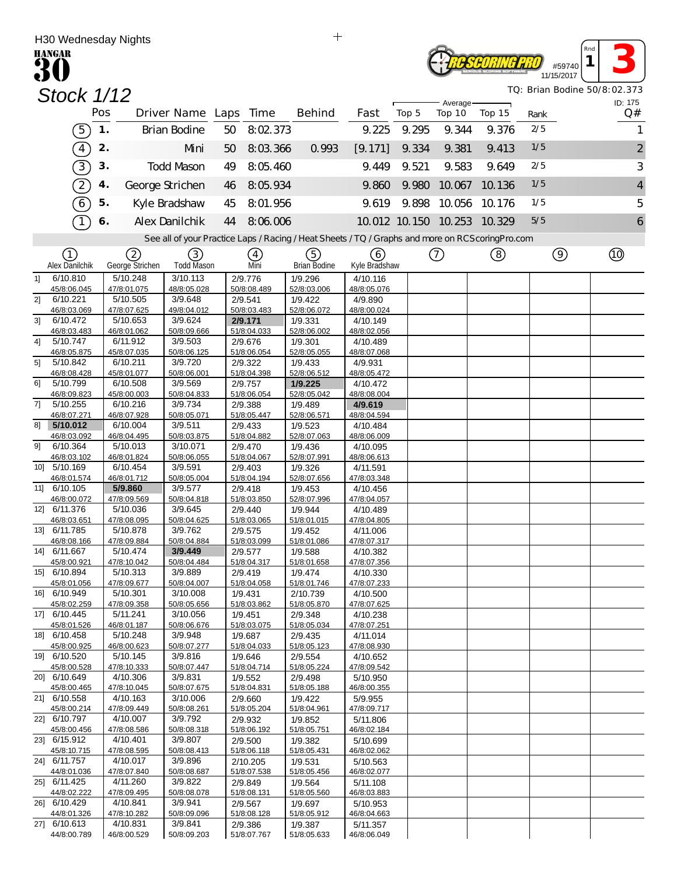| H30 Wednesday Nights          |     |                         |                                       |    |                          | $+$                                                                                               |                         |       |                      |        |      |                      | Rna                          |
|-------------------------------|-----|-------------------------|---------------------------------------|----|--------------------------|---------------------------------------------------------------------------------------------------|-------------------------|-------|----------------------|--------|------|----------------------|------------------------------|
| <b>HANGAR</b>                 |     |                         |                                       |    |                          |                                                                                                   |                         |       |                      |        |      | #59740<br>11/15/2017 |                              |
| Stock 1/12                    |     |                         |                                       |    |                          |                                                                                                   |                         |       |                      |        |      |                      | TQ: Brian Bodine 50/8:02.373 |
|                               | Pos |                         | Driver Name Laps Time                 |    |                          | <b>Behind</b>                                                                                     | Fast                    | Top 5 | Average-<br>Top 10   | Top 15 | Rank |                      | ID: 175<br>Q#                |
| $\left[5\right]$              | 1.  |                         | <b>Brian Bodine</b>                   | 50 | 8:02.373                 |                                                                                                   | 9.225                   | 9.295 | 9.344                | 9.376  | 2/5  |                      | 1                            |
| $\left(4\right)$              | 2.  |                         | Mni                                   | 50 | 8:03.366                 | 0.993                                                                                             | [9.171]                 | 9.334 | 9.381                | 9.413  | 1/5  |                      | $\overline{c}$               |
| 3)                            | 3.  |                         | <b>Todd Mason</b>                     | 49 | 8:05.460                 |                                                                                                   | 9.449                   | 9.521 | 9.583                | 9.649  | 2/5  |                      | 3                            |
|                               |     |                         |                                       |    |                          |                                                                                                   |                         |       |                      |        | 1/5  |                      |                              |
| $\widehat{\left(2\right)}$    | 4.  |                         | George Strichen                       | 46 | 8:05.934                 |                                                                                                   | 9.860                   | 9.980 | 10.067               | 10.136 |      |                      | $\overline{4}$               |
| T                             | 5.  |                         | Kyle Bradshaw                         | 45 | 8:01.956                 |                                                                                                   | 9.619                   | 9.898 | 10.056               | 10.176 | 1/5  |                      | 5                            |
| T                             | 6.  |                         | Alex Danilchik                        | 44 | 8:06.006                 |                                                                                                   |                         |       | 10.012 10.150 10.253 | 10.329 | 5/5  |                      | 6                            |
|                               |     |                         |                                       |    |                          | See all of your Practice Laps / Racing / Heat Sheets / TQ / Graphs and more on RCS coring Pro.com |                         |       |                      |        |      |                      |                              |
| ①<br>Alex Danilchik           |     | (2)<br>George Strichen  | $\left(3\right)$<br><b>Todd Mason</b> |    | $\left( 4\right)$<br>Mni | (5)<br><b>Brian Bodine</b>                                                                        | 6<br>Kyle Bradshaw      |       | $\left(  \right)$    | (8)    |      | $\circledcirc$       | $^{\circledR}$               |
| 6/10.810<br>11                |     | 5/10.248                | 3/10.113                              |    | 2/9.776                  | 1/9.296                                                                                           | 4/10.116                |       |                      |        |      |                      |                              |
| 45/8:06.045<br>21<br>6/10.221 |     | 47/8:01.075<br>5/10.505 | 48/8:05.028<br>3/9.648                |    | 50/8:08.489<br>2/9.541   | 52/8:03.006<br>1/9.422                                                                            | 48/8:05.076<br>4/9.890  |       |                      |        |      |                      |                              |
| 46/8:03.069                   |     | 47/8:07.625             | 49/8:04.012                           |    | 50/8:03.483              | 52/8:06.072                                                                                       | 48/8:00.024             |       |                      |        |      |                      |                              |
| 3]<br>6/10.472<br>46/8:03.483 |     | 5/10.653<br>46/8:01.062 | 3/9.624<br>50/8:09.666                |    | 2/9.171<br>51/8:04.033   | 1/9.331<br>52/8:06.002                                                                            | 4/10.149<br>48/8:02.056 |       |                      |        |      |                      |                              |
| 5/10.747<br>4]                |     | 6/11.912                | 3/9.503                               |    | 2/9.676                  | 1/9.301                                                                                           | 4/10.489                |       |                      |        |      |                      |                              |
| 46/8:05.875<br>5]<br>5/10.842 |     | 45/8:07.035<br>6/10.211 | 50/8:06.125<br>3/9.720                |    | 51/8:06.054<br>2/9.322   | 52/8:05.055<br>1/9.433                                                                            | 48/8:07.068<br>4/9.931  |       |                      |        |      |                      |                              |
| 46/8:08.428                   |     | 45/8:01.077             | 50/8:06.001                           |    | 51/8:04.398              | 52/8:06.512                                                                                       | 48/8:05.472             |       |                      |        |      |                      |                              |
| 61<br>5/10.799<br>46/8:09.823 |     | 6/10.508<br>45/8:00.003 | 3/9.569<br>50/8:04.833                |    | 2/9.757<br>51/8:06.054   | 1/9.225<br>52/8:05.042                                                                            | 4/10.472<br>48/8:08.004 |       |                      |        |      |                      |                              |
| 71<br>5/10.255                |     | 6/10.216                | 3/9.734                               |    | 2/9.388                  | 1/9.489                                                                                           | 4/9.619                 |       |                      |        |      |                      |                              |
| 46/8:07.271<br>8]<br>5/10.012 |     | 46/8:07.928<br>6/10.004 | 50/8:05.071<br>3/9.511                |    | 51/8:05.447<br>2/9.433   | 52/8:06.571<br>1/9.523                                                                            | 48/8:04.594<br>4/10.484 |       |                      |        |      |                      |                              |
| 46/8:03.092<br>9]<br>6/10.364 |     | 46/8:04.495<br>5/10.013 | 50/8:03.875<br>3/10.071               |    | 51/8:04.882<br>2/9.470   | 52/8:07.063<br>1/9.436                                                                            | 48/8:06.009<br>4/10.095 |       |                      |        |      |                      |                              |
| 46/8:03.102                   |     | 46/8:01.824             | 50/8:06.055                           |    | 51/8:04.067              | 52/8:07.991                                                                                       | 48/8:06.613             |       |                      |        |      |                      |                              |
| 10] 5/10.169<br>46/8:01.574   |     | 6/10.454<br>46/8:01.712 | 3/9.591<br>50/8:05.004                |    | 2/9.403<br>51/8:04.194   | 1/9.326<br>52/8:07.656                                                                            | 4/11.591<br>47/8:03.348 |       |                      |        |      |                      |                              |
| 11] 6/10.105                  |     | 5/9.860                 | 3/9.577                               |    | 2/9.418                  | 1/9.453                                                                                           | 4/10.456                |       |                      |        |      |                      |                              |
| 46/8:00.072<br>12] 6/11.376   |     | 47/8:09.569<br>5/10.036 | 50/8:04.818<br>3/9.645                |    | 51/8:03.850<br>2/9.440   | 52/8:07.996<br>1/9.944                                                                            | 47/8:04.057<br>4/10.489 |       |                      |        |      |                      |                              |
| 46/8:03.651                   |     | 47/8:08.095             | 50/8:04.625                           |    | 51/8:03.065              | 51/8:01.015                                                                                       | 47/8:04.805             |       |                      |        |      |                      |                              |
| 13] 6/11.785<br>46/8:08.166   |     | 5/10.878<br>47/8:09.884 | 3/9.762<br>50/8:04.884                |    | 2/9.575<br>51/8:03.099   | 1/9.452<br>51/8:01.086                                                                            | 4/11.006<br>47/8:07.317 |       |                      |        |      |                      |                              |
| 14] 6/11.667                  |     | 5/10.474                | 3/9.449                               |    | 2/9.577                  | 1/9.588                                                                                           | 4/10.382                |       |                      |        |      |                      |                              |
| 45/8:00.921<br>15] 6/10.894   |     | 47/8:10.042<br>5/10.313 | 50/8:04.484<br>3/9.889                |    | 51/8:04.317<br>2/9.419   | 51/8:01.658<br>1/9.474                                                                            | 47/8:07.356<br>4/10.330 |       |                      |        |      |                      |                              |
| 45/8:01.056                   |     | 47/8:09.677             | 50/8:04.007                           |    | 51/8:04.058              | 51/8:01.746                                                                                       | 47/8:07.233             |       |                      |        |      |                      |                              |
| 16] 6/10.949<br>45/8:02.259   |     | 5/10.301<br>47/8:09.358 | 3/10.008<br>50/8:05.656               |    | 1/9.431<br>51/8:03.862   | 2/10.739<br>51/8:05.870                                                                           | 4/10.500<br>47/8:07.625 |       |                      |        |      |                      |                              |
| 17] 6/10.445                  |     | 5/11.241                | 3/10.056                              |    | 1/9.451                  | 2/9.348                                                                                           | 4/10.238                |       |                      |        |      |                      |                              |
| 45/8:01.526<br>18] 6/10.458   |     | 46/8:01.187<br>5/10.248 | 50/8:06.676<br>3/9.948                |    | 51/8:03.075<br>1/9.687   | 51/8:05.034<br>2/9.435                                                                            | 47/8:07.251<br>4/11.014 |       |                      |        |      |                      |                              |
| 45/8:00.925<br>19] 6/10.520   |     | 46/8:00.623<br>5/10.145 | 50/8:07.277<br>3/9.816                |    | 51/8:04.033<br>1/9.646   | 51/8:05.123<br>2/9.554                                                                            | 47/8:08.930<br>4/10.652 |       |                      |        |      |                      |                              |
| 45/8:00.528                   |     | 47/8:10.333             | 50/8:07.447                           |    | 51/8:04.714              | 51/8:05.224                                                                                       | 47/8:09.542             |       |                      |        |      |                      |                              |
| 20] 6/10.649<br>45/8:00.465   |     | 4/10.306<br>47/8:10.045 | 3/9.831<br>50/8:07.675                |    | 1/9.552<br>51/8:04.831   | 2/9.498<br>51/8:05.188                                                                            | 5/10.950<br>46/8:00.355 |       |                      |        |      |                      |                              |
| 21] 6/10.558                  |     | 4/10.163                | 3/10.006                              |    | 2/9.660                  | 1/9.422                                                                                           | 5/9.955                 |       |                      |        |      |                      |                              |
| 45/8:00.214<br>22] 6/10.797   |     | 47/8:09.449<br>4/10.007 | 50/8:08.261<br>3/9.792                |    | 51/8:05.204<br>2/9.932   | 51/8:04.961<br>1/9.852                                                                            | 47/8:09.717<br>5/11.806 |       |                      |        |      |                      |                              |
| 45/8:00.456                   |     | 47/8:08.586             | 50/8:08.318                           |    | 51/8:06.192              | 51/8:05.751                                                                                       | 46/8:02.184             |       |                      |        |      |                      |                              |
| 23] 6/15.912<br>45/8:10.715   |     | 4/10.401<br>47/8:08.595 | 3/9.807<br>50/8:08.413                |    | 2/9.500<br>51/8:06.118   | 1/9.382<br>51/8:05.431                                                                            | 5/10.699<br>46/8:02.062 |       |                      |        |      |                      |                              |
| 24] 6/11.757                  |     | 4/10.017                | 3/9.896                               |    | 2/10.205                 | 1/9.531                                                                                           | 5/10.563                |       |                      |        |      |                      |                              |
| 44/8:01.036<br>25] 6/11.425   |     | 47/8:07.840<br>4/11.260 | 50/8:08.687<br>3/9.822                |    | 51/8:07.538<br>2/9.849   | 51/8:05.456<br>1/9.564                                                                            | 46/8:02.077<br>5/11.108 |       |                      |        |      |                      |                              |
| 44/8:02.222<br>26] 6/10.429   |     | 47/8:09.495<br>4/10.841 | 50/8:08.078<br>3/9.941                |    | 51/8:08.131              | 51/8:05.560                                                                                       | 46/8:03.883             |       |                      |        |      |                      |                              |
| 44/8:01.326                   |     | 47/8:10.282             | 50/8:09.096                           |    | 2/9.567<br>51/8:08.128   | 1/9.697<br>51/8:05.912                                                                            | 5/10.953<br>46/8:04.663 |       |                      |        |      |                      |                              |
| 27] 6/10.613<br>44/8:00.789   |     | 4/10.831<br>46/8:00.529 | 3/9.841<br>50/8:09.203                |    | 2/9.386<br>51/8:07.767   | 1/9.387<br>51/8:05.633                                                                            | 5/11.357<br>46/8:06.049 |       |                      |        |      |                      |                              |
|                               |     |                         |                                       |    |                          |                                                                                                   |                         |       |                      |        |      |                      |                              |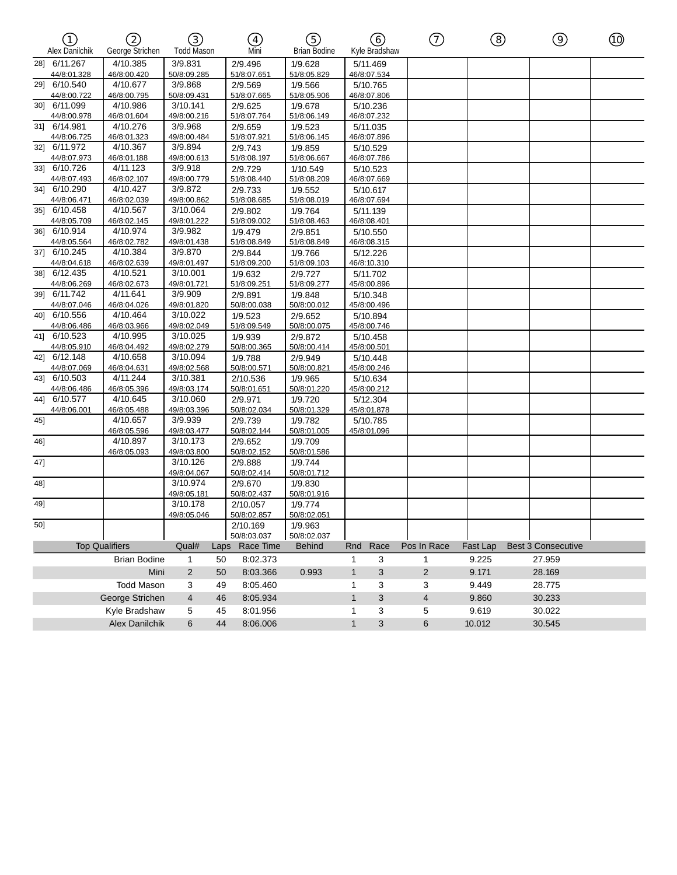| <b>介</b><br>Alex Danilchik  | 2<br>George Strichen    | ③<br><b>Todd Mason</b>  |      | Ð<br>Mni               | G)<br><b>Brian Bodine</b>    |              | (6)<br>Kyle Bradshaw    | $^\copyright$           | ⑧        | $\circledcirc$            | ⑩ |
|-----------------------------|-------------------------|-------------------------|------|------------------------|------------------------------|--------------|-------------------------|-------------------------|----------|---------------------------|---|
| 28] 6/11.267                | 4/10.385                | 3/9.831                 |      | 2/9.496                | 1/9.628                      |              | 5/11.469                |                         |          |                           |   |
| 44/8:01.328                 | 46/8:00.420             | 50/8:09.285             |      | 51/8:07.651            | 51/8:05.829                  |              | 46/8:07.534             |                         |          |                           |   |
| 29] 6/10.540                | 4/10.677                | 3/9.868                 |      | 2/9.569                | 1/9.566                      |              | 5/10.765                |                         |          |                           |   |
| 44/8:00.722                 | 46/8:00.795             | 50/8:09.431             |      | 51/8:07.665            | 51/8:05.906                  |              | 46/8:07.806             |                         |          |                           |   |
| 30] 6/11.099                | 4/10.986                | 3/10.141                |      | 2/9.625                | 1/9.678                      |              | 5/10.236                |                         |          |                           |   |
| 44/8:00.978                 | 46/8:01.604             | 49/8:00.216             |      | 51/8:07.764            | 51/8:06.149                  |              | 46/8:07.232             |                         |          |                           |   |
| 31] 6/14.981                | 4/10.276                | 3/9.968                 |      | 2/9.659                | 1/9.523                      |              | 5/11.035                |                         |          |                           |   |
| 44/8:06.725                 | 46/8:01.323             | 49/8:00.484             |      | 51/8:07.921            | 51/8:06.145                  |              | 46/8:07.896             |                         |          |                           |   |
| 32] 6/11.972                | 4/10.367                | 3/9.894                 |      | 2/9.743                | 1/9.859                      |              | 5/10.529                |                         |          |                           |   |
| 44/8:07.973                 | 46/8:01.188             | 49/8:00.613             |      | 51/8:08.197            | 51/8:06.667                  |              | 46/8:07.786             |                         |          |                           |   |
| 33]<br>6/10.726             | 4/11.123                | 3/9.918                 |      | 2/9.729                | 1/10.549                     |              | 5/10.523                |                         |          |                           |   |
| 44/8:07.493                 | 46/8:02.107             | 49/8:00.779             |      | 51/8:08.440            | 51/8:08.209                  |              | 46/8:07.669             |                         |          |                           |   |
| 34] 6/10.290                | 4/10.427                | 3/9.872                 |      | 2/9.733                | 1/9.552                      |              | 5/10.617                |                         |          |                           |   |
| 44/8:06.471                 | 46/8:02.039<br>4/10.567 | 49/8:00.862<br>3/10.064 |      | 51/8:08.685            | 51/8:08.019                  |              | 46/8:07.694             |                         |          |                           |   |
| 35] 6/10.458<br>44/8:05.709 | 46/8:02.145             | 49/8:01.222             |      | 2/9.802<br>51/8:09.002 | 1/9.764<br>51/8:08.463       |              | 5/11.139<br>46/8:08.401 |                         |          |                           |   |
| 36] 6/10.914                | 4/10.974                | 3/9.982                 |      |                        |                              |              |                         |                         |          |                           |   |
| 44/8:05.564                 | 46/8:02.782             | 49/8:01.438             |      | 1/9.479<br>51/8:08.849 | 2/9.851<br>51/8:08.849       |              | 5/10.550                |                         |          |                           |   |
| 37] 6/10.245                | 4/10.384                | 3/9.870                 |      | 2/9.844                | 1/9.766                      |              | 46/8:08.315<br>5/12.226 |                         |          |                           |   |
| 44/8:04.618                 | 46/8:02.639             | 49/8:01.497             |      | 51/8:09.200            | 51/8:09.103                  |              | 46/8:10.310             |                         |          |                           |   |
| 38] 6/12.435                | 4/10.521                | 3/10.001                |      | 1/9.632                | 2/9.727                      |              | 5/11.702                |                         |          |                           |   |
| 44/8:06.269                 | 46/8:02.673             | 49/8:01.721             |      | 51/8:09.251            | 51/8:09.277                  |              | 45/8:00.896             |                         |          |                           |   |
| 6/11.742<br>39]             | 4/11.641                | 3/9.909                 |      | 2/9.891                | 1/9.848                      |              | 5/10.348                |                         |          |                           |   |
| 44/8:07.046                 | 46/8:04.026             | 49/8:01.820             |      | 50/8:00.038            | 50/8:00.012                  |              | 45/8:00.496             |                         |          |                           |   |
| 40] 6/10.556                | 4/10.464                | 3/10.022                |      | 1/9.523                | 2/9.652                      |              | 5/10.894                |                         |          |                           |   |
| 44/8:06.486                 | 46/8:03.966             | 49/8:02.049             |      | 51/8:09.549            | 50/8:00.075                  |              | 45/8:00.746             |                         |          |                           |   |
| 41] 6/10.523                | 4/10.995                | 3/10.025                |      | 1/9.939                | 2/9.872                      |              | 5/10.458                |                         |          |                           |   |
| 44/8:05.910                 | 46/8:04.492             | 49/8:02.279             |      | 50/8:00.365            | 50/8:00.414                  |              | 45/8:00.501             |                         |          |                           |   |
| 6/12.148<br>42]             | 4/10.658                | 3/10.094                |      | 1/9.788                | 2/9.949                      |              | 5/10.448                |                         |          |                           |   |
| 44/8:07.069                 | 46/8:04.631             | 49/8:02.568             |      | 50/8:00.571            | 50/8:00.821                  |              | 45/8:00.246             |                         |          |                           |   |
| 43] 6/10.503                | 4/11.244                | 3/10.381                |      | 2/10.536               | 1/9.965                      |              | 5/10.634                |                         |          |                           |   |
| 44/8:06.486                 | 46/8:05.396             | 49/8:03.174             |      | 50/8:01.651            | 50/8:01.220                  |              | 45/8:00.212             |                         |          |                           |   |
| 6/10.577<br>44]             | 4/10.645                | 3/10.060                |      | 2/9.971                | 1/9.720                      |              | 5/12.304                |                         |          |                           |   |
| 44/8:06.001                 | 46/8:05.488             | 49/8:03.396             |      | 50/8:02.034            | 50/8:01.329                  |              | 45/8:01.878             |                         |          |                           |   |
| 45]                         | 4/10.657                | 3/9.939                 |      | 2/9.739                | 1/9.782                      |              | 5/10.785                |                         |          |                           |   |
|                             | 46/8:05.596             | 49/8:03.477             |      | 50/8:02.144            | 50/8:01.005                  |              | 45/8:01.096             |                         |          |                           |   |
| 46]                         | 4/10.897                | 3/10.173                |      | 2/9.652                | 1/9.709                      |              |                         |                         |          |                           |   |
|                             | 46/8:05.093             | 49/8:03.800             |      | 50/8:02.152            | 50/8:01.586                  |              |                         |                         |          |                           |   |
| 47]                         |                         | 3/10.126                |      | 2/9.888                | 1/9.744                      |              |                         |                         |          |                           |   |
|                             |                         | 49/8:04.067             |      | 50/8:02.414            | 50/8:01.712                  |              |                         |                         |          |                           |   |
| 48]                         |                         | 3/10.974                |      | 2/9.670                | 1/9.830                      |              |                         |                         |          |                           |   |
|                             |                         | 49/8:05.181             |      | 50/8:02.437            | 50/8:01.916                  |              |                         |                         |          |                           |   |
| 49]                         |                         | 3/10.178                |      | 2/10.057               | 1/9.774                      |              |                         |                         |          |                           |   |
|                             |                         | 49/8:05.046             |      | 50/8:02.857            | 50/8:02.051                  |              |                         |                         |          |                           |   |
| 50]                         |                         |                         |      | 2/10.169               | 1/9.963                      |              |                         |                         |          |                           |   |
|                             | <b>Top Qualifiers</b>   | Qual#                   |      | 50/8:03.037            | 50/8:02.037<br><b>Behind</b> | Rnd          | Race                    | Pos In Race             | Fast Lap | <b>Best 3 Consecutive</b> |   |
|                             |                         |                         | Laps | Race Time              |                              |              |                         |                         |          |                           |   |
|                             | <b>Brian Bodine</b>     | $\mathbf{1}$            | 50   | 8:02.373               |                              | $\mathbf{1}$ | 3                       | $\mathbf{1}$            | 9.225    | 27.959                    |   |
|                             | Mini                    | $\overline{2}$          | 50   | 8:03.366               | 0.993                        | $\mathbf{1}$ | 3                       | $\overline{2}$          | 9.171    | 28.169                    |   |
|                             | <b>Todd Mason</b>       | 3                       | 49   | 8:05.460               |                              | 1            | 3                       | 3                       | 9.449    | 28.775                    |   |
|                             | George Strichen         | $\overline{4}$          | 46   | 8:05.934               |                              | $\mathbf{1}$ | 3                       | $\overline{\mathbf{4}}$ | 9.860    | 30.233                    |   |
|                             | Kyle Bradshaw           | 5                       | 45   | 8:01.956               |                              | 1            | 3                       | 5                       | 9.619    | 30.022                    |   |
|                             |                         |                         |      |                        |                              |              |                         |                         |          |                           |   |
|                             | Alex Danilchik          | 6                       | 44   | 8:06.006               |                              | $\mathbf{1}$ | 3                       | 6                       | 10.012   | 30.545                    |   |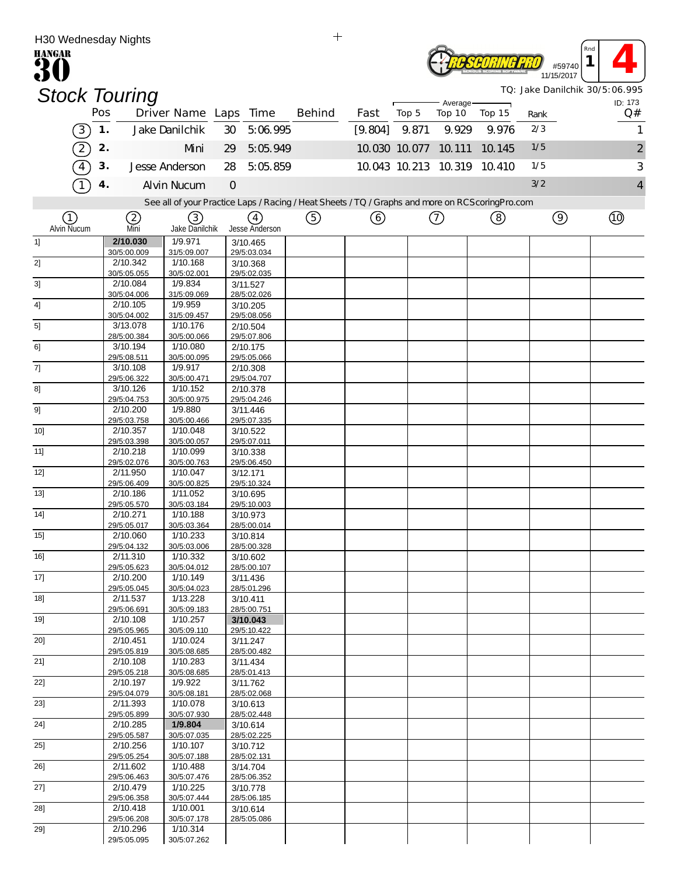| H30 Wednesday Nights |     |                         |                                                                                                   |               |                         | $+$    |         |               |                             |        |             |                |                                |
|----------------------|-----|-------------------------|---------------------------------------------------------------------------------------------------|---------------|-------------------------|--------|---------|---------------|-----------------------------|--------|-------------|----------------|--------------------------------|
| <b>HANGAR</b>        |     |                         |                                                                                                   |               |                         |        |         |               |                             |        |             | #59740         | Rnd                            |
|                      |     |                         |                                                                                                   |               |                         |        |         |               |                             |        |             | 11/15/2017     | TQ: Jake Danilchik 30/5:06.995 |
| <b>Stock Touring</b> |     |                         |                                                                                                   |               |                         |        |         |               | Average-                    |        |             |                | ID: 173                        |
|                      | Pos |                         | Driver Name Laps Time                                                                             |               |                         | Behind | Fast    | Top 5         | Top 10                      | Top 15 | Rank<br>2/3 |                | Q#                             |
| $\left(3\right)$     | 1.  |                         | Jake Danilchik                                                                                    | 30            | 5:06.995                |        | [9.804] | 9.871         | 9.929                       | 9.976  |             |                | 1                              |
| $\boxed{2}$          | 2.  |                         | Mni                                                                                               | 29            | 5:05.949                |        |         | 10.030 10.077 | 10.111                      | 10.145 | 1/5         |                | $\overline{c}$                 |
| $\widehat{4}$        | 3.  |                         | Jesse Anderson                                                                                    | 28            | 5:05.859                |        |         |               | 10.043 10.213 10.319 10.410 |        | 1/5         |                | 3                              |
|                      | 4.  |                         | <b>Alvin Nucum</b>                                                                                | $\mathcal{O}$ |                         |        |         |               |                             |        | 3/2         |                | $\overline{4}$                 |
|                      |     |                         | See all of your Practice Laps / Racing / Heat Sheets / TQ / Graphs and more on RCS coring Pro.com |               |                         |        |         |               |                             |        |             |                |                                |
| (1)<br>Alvin Nucum   |     | (2)<br>Mni              | 3<br>Jake Danilchik                                                                               |               | (4)<br>Jesse Anderson   | ⑤      | ⓒ       |               | ⑦                           | (8)    |             | $\circledcirc$ | (10)                           |
| 1]                   |     | 2/10.030<br>30/5:00.009 | 1/9.971<br>31/5:09.007                                                                            |               | 3/10.465<br>29/5:03.034 |        |         |               |                             |        |             |                |                                |
| 2]                   |     | 2/10.342                | 1/10.168                                                                                          |               | 3/10.368                |        |         |               |                             |        |             |                |                                |
| 3]                   |     | 30/5:05.055<br>2/10.084 | 30/5:02.001<br>1/9.834                                                                            |               | 29/5:02.035<br>3/11.527 |        |         |               |                             |        |             |                |                                |
|                      |     | 30/5:04.006             | 31/5:09.069                                                                                       |               | 28/5:02.026             |        |         |               |                             |        |             |                |                                |
| 4]                   |     | 2/10.105<br>30/5:04.002 | 1/9.959<br>31/5:09.457                                                                            |               | 3/10.205<br>29/5:08.056 |        |         |               |                             |        |             |                |                                |
| 5]                   |     | 3/13.078                | 1/10.176                                                                                          |               | 2/10.504                |        |         |               |                             |        |             |                |                                |
| 6]                   |     | 28/5:00.384<br>3/10.194 | 30/5:00.066<br>1/10.080                                                                           |               | 29/5:07.806<br>2/10.175 |        |         |               |                             |        |             |                |                                |
|                      |     | 29/5:08.511             | 30/5:00.095                                                                                       |               | 29/5:05.066             |        |         |               |                             |        |             |                |                                |
| 7]                   |     | 3/10.108<br>29/5:06.322 | 1/9.917<br>30/5:00.471                                                                            |               | 2/10.308<br>29/5:04.707 |        |         |               |                             |        |             |                |                                |
| 8]                   |     | 3/10.126<br>29/5:04.753 | 1/10.152<br>30/5:00.975                                                                           |               | 2/10.378<br>29/5:04.246 |        |         |               |                             |        |             |                |                                |
| 9]                   |     | 2/10.200                | 1/9.880                                                                                           |               | 3/11.446                |        |         |               |                             |        |             |                |                                |
| 10                   |     | 29/5:03.758<br>2/10.357 | 30/5:00.466<br>1/10.048                                                                           |               | 29/5:07.335<br>3/10.522 |        |         |               |                             |        |             |                |                                |
| 11]                  |     | 29/5:03.398<br>2/10.218 | 30/5:00.057<br>1/10.099                                                                           |               | 29/5:07.011<br>3/10.338 |        |         |               |                             |        |             |                |                                |
|                      |     | 29/5:02.076             | 30/5:00.763                                                                                       |               | 29/5:06.450             |        |         |               |                             |        |             |                |                                |
| 12]                  |     | 2/11.950<br>29/5:06.409 | 1/10.047<br>30/5:00.825                                                                           |               | 3/12.171<br>29/5:10.324 |        |         |               |                             |        |             |                |                                |
| 13]                  |     | 2/10.186                | 1/11.052                                                                                          |               | 3/10.695                |        |         |               |                             |        |             |                |                                |
| 14]                  |     | 29/5:05.570<br>2/10.271 | 30/5:03.184<br>1/10.188                                                                           |               | 29/5:10.003<br>3/10.973 |        |         |               |                             |        |             |                |                                |
|                      |     | 29/5:05.017             | 30/5:03.364                                                                                       |               | 28/5:00.014             |        |         |               |                             |        |             |                |                                |
| 15]                  |     | 2/10.060<br>29/5:04.132 | 1/10.233<br>30/5:03.006                                                                           |               | 3/10.814<br>28/5:00.328 |        |         |               |                             |        |             |                |                                |
| 16]                  |     | 2/11.310                | 1/10.332                                                                                          |               | 3/10.602                |        |         |               |                             |        |             |                |                                |
| $17$ ]               |     | 29/5:05.623<br>2/10.200 | 30/5:04.012<br>1/10.149                                                                           |               | 28/5:00.107<br>3/11.436 |        |         |               |                             |        |             |                |                                |
| 18]                  |     | 29/5:05.045<br>2/11.537 | 30/5:04.023<br>1/13.228                                                                           |               | 28/5:01.296             |        |         |               |                             |        |             |                |                                |
|                      |     | 29/5:06.691             | 30/5:09.183                                                                                       |               | 3/10.411<br>28/5:00.751 |        |         |               |                             |        |             |                |                                |
| $19$ ]               |     | 2/10.108<br>29/5:05.965 | 1/10.257<br>30/5:09.110                                                                           |               | 3/10.043<br>29/5:10.422 |        |         |               |                             |        |             |                |                                |
| 20]                  |     | 2/10.451                | 1/10.024                                                                                          |               | 3/11.247                |        |         |               |                             |        |             |                |                                |
| 21]                  |     | 29/5:05.819<br>2/10.108 | 30/5:08.685<br>1/10.283                                                                           |               | 28/5:00.482<br>3/11.434 |        |         |               |                             |        |             |                |                                |
| 22]                  |     | 29/5:05.218<br>2/10.197 | 30/5:08.685<br>1/9.922                                                                            |               | 28/5:01.413             |        |         |               |                             |        |             |                |                                |
|                      |     | 29/5:04.079             | 30/5:08.181                                                                                       |               | 3/11.762<br>28/5:02.068 |        |         |               |                             |        |             |                |                                |
| 23]                  |     | 2/11.393<br>29/5:05.899 | 1/10.078<br>30/5:07.930                                                                           |               | 3/10.613<br>28/5:02.448 |        |         |               |                             |        |             |                |                                |
| 24]                  |     | 2/10.285                | 1/9.804                                                                                           |               | 3/10.614                |        |         |               |                             |        |             |                |                                |
| 25]                  |     | 29/5:05.587<br>2/10.256 | 30/5:07.035<br>1/10.107                                                                           |               | 28/5:02.225<br>3/10.712 |        |         |               |                             |        |             |                |                                |
|                      |     | 29/5:05.254             | 30/5:07.188                                                                                       |               | 28/5:02.131             |        |         |               |                             |        |             |                |                                |
| 26]                  |     | 2/11.602<br>29/5:06.463 | 1/10.488<br>30/5:07.476                                                                           |               | 3/14.704<br>28/5:06.352 |        |         |               |                             |        |             |                |                                |
| 27]                  |     | 2/10.479<br>29/5:06.358 | 1/10.225<br>30/5:07.444                                                                           |               | 3/10.778<br>28/5:06.185 |        |         |               |                             |        |             |                |                                |
| 28]                  |     | 2/10.418                | 1/10.001                                                                                          |               | 3/10.614                |        |         |               |                             |        |             |                |                                |
| 29]                  |     | 29/5:06.208<br>2/10.296 | 30/5:07.178<br>1/10.314                                                                           |               | 28/5:05.086             |        |         |               |                             |        |             |                |                                |
|                      |     | 29/5:05.095             | 30/5:07.262                                                                                       |               |                         |        |         |               |                             |        |             |                |                                |